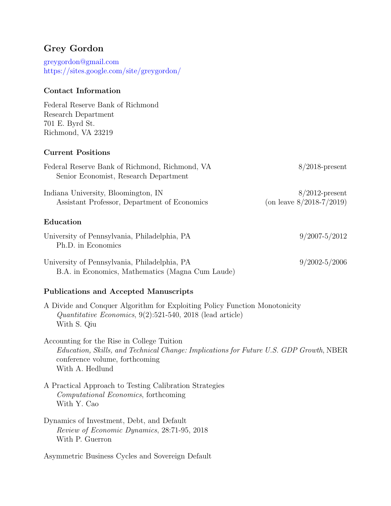# Grey Gordon

[greygordon@gmail.com](mailto:greygordon@gmail.com) <https://sites.google.com/site/greygordon/>

### Contact Information

Federal Reserve Bank of Richmond Research Department 701 E. Byrd St. Richmond, VA 23219

### Current Positions

| Federal Reserve Bank of Richmond, Richmond, VA<br>Senior Economist, Research Department          | $8/2018$ -present                                |
|--------------------------------------------------------------------------------------------------|--------------------------------------------------|
| Indiana University, Bloomington, IN<br>Assistant Professor, Department of Economics              | $8/2012$ -present<br>(on leave $8/2018-7/2019$ ) |
| Education                                                                                        |                                                  |
| University of Pennsylvania, Philadelphia, PA<br>Ph.D. in Economics                               | $9/2007 - 5/2012$                                |
| University of Pennsylvania, Philadelphia, PA<br>B.A. in Economics, Mathematics (Magna Cum Laude) | $9/2002 - 5/2006$                                |

### Publications and Accepted Manuscripts

A Divide and Conquer Algorithm for Exploiting Policy Function Monotonicity Quantitative Economics, 9(2):521-540, 2018 (lead article) With S. Qiu

Accounting for the Rise in College Tuition Education, Skills, and Technical Change: Implications for Future U.S. GDP Growth, NBER conference volume, forthcoming With A. Hedlund

A Practical Approach to Testing Calibration Strategies Computational Economics, forthcoming With Y. Cao

Dynamics of Investment, Debt, and Default Review of Economic Dynamics, 28:71-95, 2018 With P. Guerron

Asymmetric Business Cycles and Sovereign Default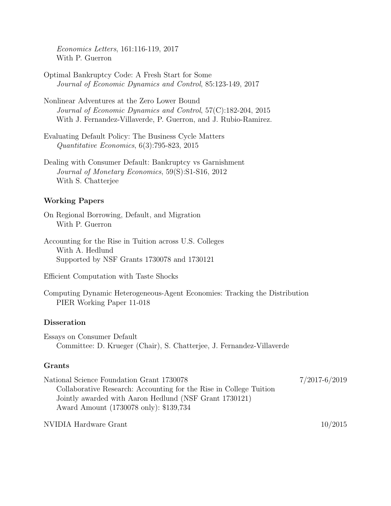Economics Letters, 161:116-119, 2017 With P. Guerron

- Optimal Bankruptcy Code: A Fresh Start for Some Journal of Economic Dynamics and Control, 85:123-149, 2017
- Nonlinear Adventures at the Zero Lower Bound Journal of Economic Dynamics and Control, 57(C):182-204, 2015 With J. Fernandez-Villaverde, P. Guerron, and J. Rubio-Ramirez.
- Evaluating Default Policy: The Business Cycle Matters Quantitative Economics, 6(3):795-823, 2015
- Dealing with Consumer Default: Bankruptcy vs Garnishment Journal of Monetary Economics, 59(S):S1-S16, 2012 With S. Chatterjee

#### Working Papers

- On Regional Borrowing, Default, and Migration With P. Guerron
- Accounting for the Rise in Tuition across U.S. Colleges With A. Hedlund Supported by NSF Grants 1730078 and 1730121

Efficient Computation with Taste Shocks

Computing Dynamic Heterogeneous-Agent Economies: Tracking the Distribution PIER Working Paper 11-018

#### Disseration

Essays on Consumer Default Committee: D. Krueger (Chair), S. Chatterjee, J. Fernandez-Villaverde

#### Grants

National Science Foundation Grant 1730078 7/2017-6/2019 Collaborative Research: Accounting for the Rise in College Tuition Jointly awarded with Aaron Hedlund (NSF Grant 1730121) Award Amount (1730078 only): \$139,734

NVIDIA Hardware Grant 10/2015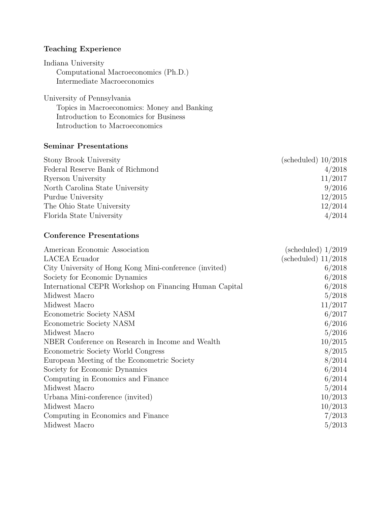## Teaching Experience

Indiana University Computational Macroeconomics (Ph.D.) Intermediate Macroeconomics

University of Pennsylvania

Topics in Macroeconomics: Money and Banking Introduction to Economics for Business Introduction to Macroeconomics

#### Seminar Presentations

| Stony Brook University           | (scheduled) $10/2018$ |
|----------------------------------|-----------------------|
| Federal Reserve Bank of Richmond | 4/2018                |
| Ryerson University               | 11/2017               |
| North Carolina State University  | 9/2016                |
| Purdue University                | 12/2015               |
| The Ohio State University        | 12/2014               |
| Florida State University         | 4/2014                |

### Conference Presentations

| American Economic Association                          | (scheduled) $1/2019$ |
|--------------------------------------------------------|----------------------|
| <b>LACEA</b> Ecuador                                   | (scheduled) 11/2018  |
| City University of Hong Kong Mini-conference (invited) | 6/2018               |
| Society for Economic Dynamics                          | 6/2018               |
| International CEPR Workshop on Financing Human Capital | 6/2018               |
| Midwest Macro                                          | 5/2018               |
| Midwest Macro                                          | 11/2017              |
| Econometric Society NASM                               | 6/2017               |
| Econometric Society NASM                               | 6/2016               |
| Midwest Macro                                          | 5/2016               |
| NBER Conference on Research in Income and Wealth       | 10/2015              |
| Econometric Society World Congress                     | 8/2015               |
| European Meeting of the Econometric Society            | 8/2014               |
| Society for Economic Dynamics                          | 6/2014               |
| Computing in Economics and Finance                     | 6/2014               |
| Midwest Macro                                          | 5/2014               |
| Urbana Mini-conference (invited)                       | 10/2013              |
| Midwest Macro                                          | 10/2013              |
| Computing in Economics and Finance                     | 7/2013               |
| Midwest Macro                                          | 5/2013               |
|                                                        |                      |